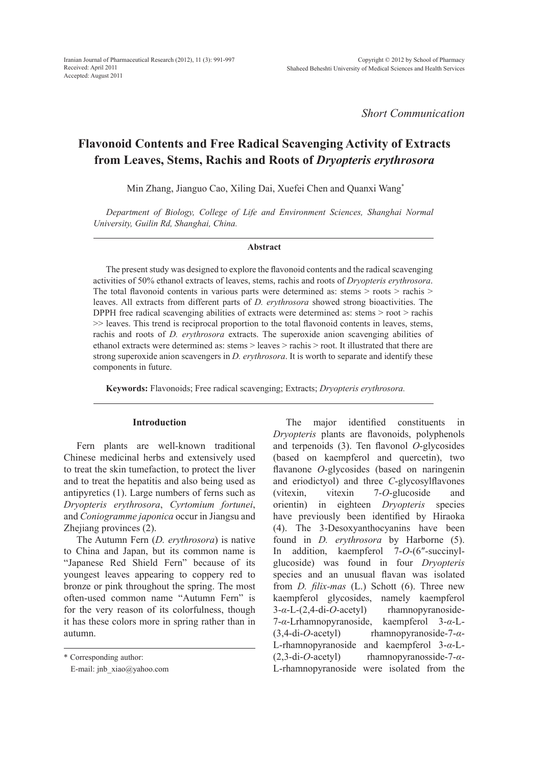*Short Communication*

# **Flavonoid Contents and Free Radical Scavenging Activity of Extracts from Leaves, Stems, Rachis and Roots of** *Dryopteris erythrosora*

Min Zhang, Jianguo Cao, Xiling Dai, Xuefei Chen and Quanxi Wang\*

*Department of Biology, College of Life and Environment Sciences, Shanghai Normal University, Guilin Rd, Shanghai, China.*

#### **Abstract**

The present study was designed to explore the flavonoid contents and the radical scavenging activities of 50% ethanol extracts of leaves, stems, rachis and roots of *Dryopteris erythrosora*. The total flavonoid contents in various parts were determined as: stems > roots > rachis > leaves. All extracts from different parts of *D. erythrosora* showed strong bioactivities. The DPPH free radical scavenging abilities of extracts were determined as: stems > root > rachis >> leaves. This trend is reciprocal proportion to the total flavonoid contents in leaves, stems, rachis and roots of *D. erythrosora* extracts. The superoxide anion scavenging abilities of ethanol extracts were determined as: stems > leaves > rachis > root. It illustrated that there are strong superoxide anion scavengers in *D. erythrosora*. It is worth to separate and identify these components in future.

**Keywords:** Flavonoids; Free radical scavenging; Extracts; *Dryopteris erythrosora.*

## **Introduction**

Fern plants are well-known traditional Chinese medicinal herbs and extensively used to treat the skin tumefaction, to protect the liver and to treat the hepatitis and also being used as antipyretics (1). Large numbers of ferns such as *Dryopteris erythrosora*, *Cyrtomium fortunei*, and *Coniogramme japonica* occur in Jiangsu and Zhejiang provinces (2).

The Autumn Fern (*D. erythrosora*) is native to China and Japan, but its common name is "Japanese Red Shield Fern" because of its youngest leaves appearing to coppery red to bronze or pink throughout the spring. The most often-used common name "Autumn Fern" is for the very reason of its colorfulness, though it has these colors more in spring rather than in autumn.

The major identified constituents in *Dryopteris* plants are flavonoids, polyphenols and terpenoids (3). Ten flavonol *O*-glycosides (based on kaempferol and quercetin), two flavanone *O*-glycosides (based on naringenin and eriodictyol) and three *C*-glycosylflavones (vitexin, vitexin 7-*O*-glucoside and orientin) in eighteen *Dryopteris* species have previously been identified by Hiraoka (4). The 3-Desoxyanthocyanins have been found in *D. erythrosora* by Harborne (5). In addition, kaempferol 7-*O*-(6″-succinylglucoside) was found in four *Dryopteris* species and an unusual flavan was isolated from *D. filix-mas* (L.) Schott (6). Three new kaempferol glycosides, namely kaempferol 3-*α*-L-(2,4-di-*O*-acetyl) rhamnopyranoside-7-*α*-Lrhamnopyranoside, kaempferol 3-*α*-L- (3,4-di-*O*-acetyl) rhamnopyranoside-7-*α*-L-rhamnopyranoside and kaempferol 3-*α*-L- (2,3-di-*O*-acetyl) rhamnopyranosside-7-*α*-L-rhamnopyranoside were isolated from the

<sup>\*</sup> Corresponding author:

E-mail: jnb\_xiao@yahoo.com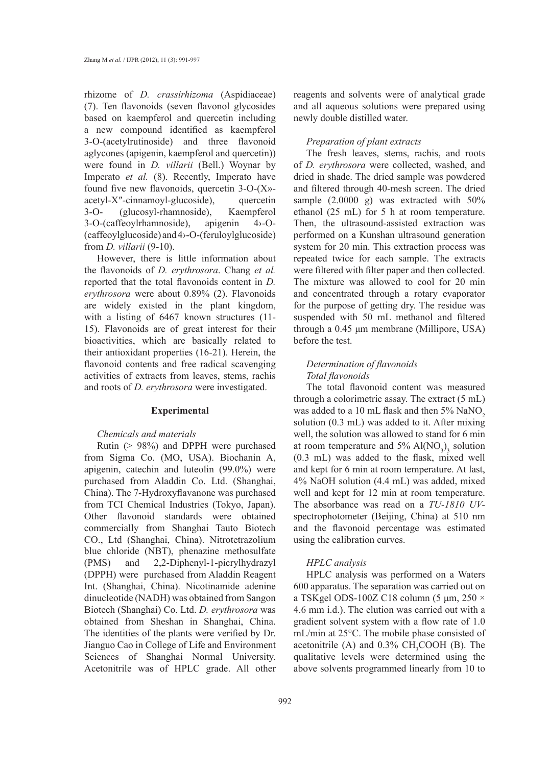rhizome of *D. crassirhizoma* (Aspidiaceae) (7). Ten flavonoids (seven flavonol glycosides based on kaempferol and quercetin including a new compound identified as kaempferol 3-O-(acetylrutinoside) and three flavonoid aglycones (apigenin, kaempferol and quercetin)) were found in *D. villarii* (Bell.) Woynar by Imperato *et al.* (8). Recently, Imperato have found five new flavonoids, quercetin 3-O-(X» acetyl-X″-cinnamoyl-glucoside), quercetin 3-O- (glucosyl-rhamnoside), Kaempferol 3-O-(caffeoylrhamnoside), apigenin 4›-O- (caffeoylglucoside) and 4›-O-(feruloylglucoside) from *D. villarii* (9-10).

However, there is little information about the flavonoids of *D. erythrosora*. Chang *et al.*  reported that the total flavonoids content in *D. erythrosora* were about 0.89% (2). Flavonoids are widely existed in the plant kingdom, with a listing of 6467 known structures (11- 15). Flavonoids are of great interest for their bioactivities, which are basically related to their antioxidant properties (16-21). Herein, the flavonoid contents and free radical scavenging activities of extracts from leaves, stems, rachis and roots of *D. erythrosora* were investigated.

#### **Experimental**

#### *Chemicals and materials*

Rutin (> 98%) and DPPH were purchased from Sigma Co. (MO, USA). Biochanin A, apigenin, catechin and luteolin (99.0%) were purchased from Aladdin Co. Ltd. (Shanghai, China). The 7-Hydroxyflavanone was purchased from TCI Chemical Industries (Tokyo, Japan). Other flavonoid standards were obtained commercially from Shanghai Tauto Biotech CO., Ltd (Shanghai, China). Nitrotetrazolium blue chloride (NBT), phenazine methosulfate (PMS) and 2,2-Diphenyl-1-picrylhydrazyl (DPPH) were purchased from Aladdin Reagent Int. (Shanghai, China). Nicotinamide adenine dinucleotide (NADH) was obtained from Sangon Biotech (Shanghai) Co. Ltd. *D. erythrosora* was obtained from Sheshan in Shanghai, China. The identities of the plants were verified by Dr. Jianguo Cao in College of Life and Environment Sciences of Shanghai Normal University. Acetonitrile was of HPLC grade. All other

reagents and solvents were of analytical grade and all aqueous solutions were prepared using newly double distilled water.

#### *Preparation of plant extracts*

The fresh leaves, stems, rachis, and roots of *D. erythrosora* were collected, washed, and dried in shade. The dried sample was powdered and filtered through 40-mesh screen. The dried sample (2.0000 g) was extracted with 50% ethanol (25 mL) for 5 h at room temperature. Then, the ultrasound-assisted extraction was performed on a Kunshan ultrasound generation system for 20 min. This extraction process was repeated twice for each sample. The extracts were filtered with filter paper and then collected. The mixture was allowed to cool for 20 min and concentrated through a rotary evaporator for the purpose of getting dry. The residue was suspended with 50 mL methanol and filtered through a 0.45 μm membrane (Millipore, USA) before the test.

## *Determination of flavonoids Total flavonoids*

The total flavonoid content was measured through a colorimetric assay. The extract (5 mL) was added to a 10 mL flask and then  $5\%$  NaNO<sub>2</sub> solution (0.3 mL) was added to it. After mixing well, the solution was allowed to stand for 6 min at room temperature and  $5\%$  Al(NO<sub>3</sub>)<sub>3</sub> solution (0.3 mL) was added to the flask, mixed well and kept for 6 min at room temperature. At last, 4% NaOH solution (4.4 mL) was added, mixed well and kept for 12 min at room temperature. The absorbance was read on a *TU-1810 UV*spectrophotometer (Beijing, China) at 510 nm and the flavonoid percentage was estimated using the calibration curves.

#### *HPLC analysis*

HPLC analysis was performed on a Waters 600 apparatus. The separation was carried out on a TSKgel ODS-100Z C18 column (5 μm,  $250 \times$ 4.6 mm i.d.). The elution was carried out with a gradient solvent system with a flow rate of 1.0 mL/min at 25°C. The mobile phase consisted of acetonitrile (A) and  $0.3\%$  CH<sub>3</sub>COOH (B). The qualitative levels were determined using the above solvents programmed linearly from 10 to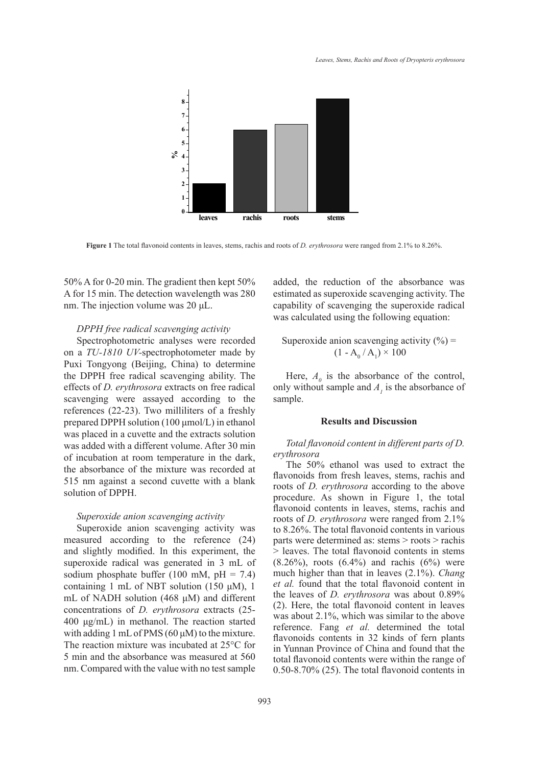

**Figure 1** The total flavonoid contents in leaves, stems, rachis and roots of *D. erythrosora* were ranged from 2.1% to 8.26%.

50% A for 0-20 min. The gradient then kept 50% A for 15 min. The detection wavelength was 280 nm. The injection volume was 20 μL.

#### *DPPH free radical scavenging activity*

Spectrophotometric analyses were recorded on a *TU-1810 UV-*spectrophotometer made by Puxi Tongyong (Beijing, China) to determine the DPPH free radical scavenging ability. The effects of *D. erythrosora* extracts on free radical scavenging were assayed according to the references (22-23). Two milliliters of a freshly prepared DPPH solution (100 μmol/L) in ethanol was placed in a cuvette and the extracts solution was added with a different volume. After 30 min of incubation at room temperature in the dark, the absorbance of the mixture was recorded at 515 nm against a second cuvette with a blank solution of DPPH.

#### *Superoxide anion scavenging activity*

Superoxide anion scavenging activity was measured according to the reference (24) and slightly modified. In this experiment, the superoxide radical was generated in 3 mL of sodium phosphate buffer (100 mM,  $pH = 7.4$ ) containing 1 mL of NBT solution (150  $\mu$ M), 1 mL of NADH solution (468 μM) and different concentrations of *D. erythrosora* extracts (25- 400 μg/mL) in methanol. The reaction started with adding 1 mL of PMS  $(60 \mu M)$  to the mixture. The reaction mixture was incubated at 25°C for 5 min and the absorbance was measured at 560 nm. Compared with the value with no test sample added, the reduction of the absorbance was estimated as superoxide scavenging activity. The capability of scavenging the superoxide radical was calculated using the following equation:

## Superoxide anion scavenging activity  $(\% )$  =  $(1 - A_0 / A_1) \times 100$

Here,  $A_{\theta}$  is the absorbance of the control, only without sample and  $A<sub>l</sub>$  is the absorbance of sample.

#### **Results and Discussion**

### *Total flavonoid content in different parts of D. erythrosora*

The 50% ethanol was used to extract the flavonoids from fresh leaves, stems, rachis and roots of *D. erythrosora* according to the above procedure. As shown in Figure 1, the total flavonoid contents in leaves, stems, rachis and roots of *D. erythrosora* were ranged from 2.1% to 8.26%. The total flavonoid contents in various parts were determined as: stems > roots > rachis > leaves. The total flavonoid contents in stems  $(8.26\%)$ , roots  $(6.4\%)$  and rachis  $(6\%)$  were much higher than that in leaves (2.1%). *Chang et al.* found that the total flavonoid content in the leaves of *D. erythrosora* was about 0.89% (2). Here, the total flavonoid content in leaves was about 2.1%, which was similar to the above reference. Fang *et al.* determined the total flavonoids contents in 32 kinds of fern plants in Yunnan Province of China and found that the total flavonoid contents were within the range of 0.50-8.70% (25). The total flavonoid contents in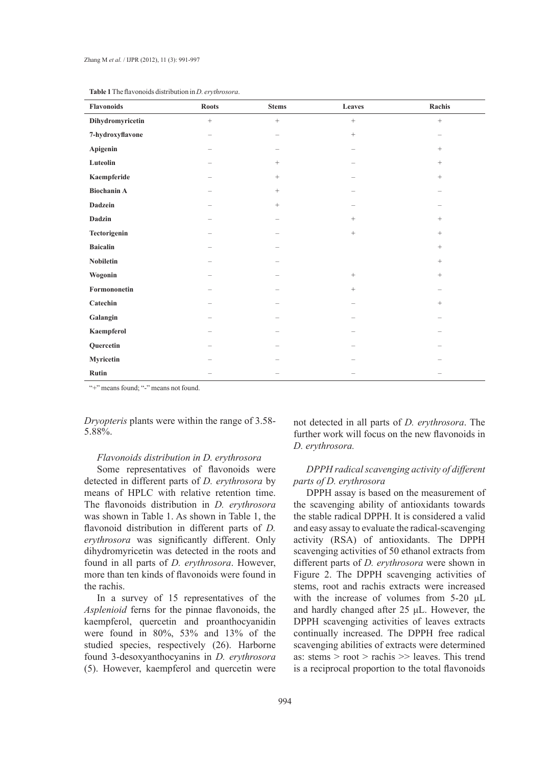| Flavonoids         | <b>Roots</b>             | <b>Stems</b>     | Leaves            | Rachis                   |
|--------------------|--------------------------|------------------|-------------------|--------------------------|
| Dihydromyricetin   | $\boldsymbol{+}$         | $\boldsymbol{+}$ | $\qquad \qquad +$ | $\boldsymbol{+}$         |
| 7-hydroxyflavone   | $\overline{\phantom{0}}$ |                  | $+$               | $\overline{\phantom{0}}$ |
| Apigenin           | -                        |                  |                   | $^{+}$                   |
| Luteolin           |                          | $+$              |                   | $^{+}$                   |
| Kaempferide        | -                        | $\boldsymbol{+}$ |                   | $^+$                     |
| <b>Biochanin A</b> | $\overline{\phantom{0}}$ | $\! + \!\!\!\!$  |                   |                          |
| Dadzein            | $\overline{\phantom{0}}$ | $\boldsymbol{+}$ |                   |                          |
| Dadzin             | $\overline{\phantom{0}}$ | -                | $+$               | $^+$                     |
| Tectorigenin       | $\overline{\phantom{0}}$ |                  | $\boldsymbol{+}$  | $^{+}$                   |
| <b>Baicalin</b>    |                          |                  |                   | $^+$                     |
| Nobiletin          |                          |                  |                   | $\, +$                   |
| Wogonin            |                          |                  | $^{+}$            | $^{+}$                   |
| Formononetin       |                          |                  | $^{+}$            |                          |
| Catechin           |                          |                  |                   | $^{+}$                   |
| Galangin           | -                        |                  |                   |                          |
| Kaempferol         | -                        |                  |                   |                          |
| Quercetin          |                          |                  |                   |                          |
| Myricetin          |                          |                  |                   |                          |
| Rutin              |                          |                  |                   |                          |

|  |  | <b>Table 1</b> The flavonoids distribution in <i>D. ervthrosora.</i> |  |  |  |  |  |
|--|--|----------------------------------------------------------------------|--|--|--|--|--|
|--|--|----------------------------------------------------------------------|--|--|--|--|--|

"+" means found; "-" means not found.

*Dryopteris* plants were within the range of 3.58- 5.88%.

#### *Flavonoids distribution in D. erythrosora*

Some representatives of flavonoids were detected in different parts of *D. erythrosora* by means of HPLC with relative retention time. The flavonoids distribution in *D. erythrosora*  was shown in Table 1. As shown in Table 1, the flavonoid distribution in different parts of *D. erythrosora* was significantly different. Only dihydromyricetin was detected in the roots and found in all parts of *D. erythrosora*. However, more than ten kinds of flavonoids were found in the rachis.

In a survey of 15 representatives of the *Asplenioid* ferns for the pinnae flavonoids, the kaempferol, quercetin and proanthocyanidin were found in 80%, 53% and 13% of the studied species, respectively (26). Harborne found 3-desoxyanthocyanins in *D. erythrosora* (5). However, kaempferol and quercetin were

not detected in all parts of *D. erythrosora*. The further work will focus on the new flavonoids in *D. erythrosora.*

## *DPPH radical scavenging activity of different parts of D. erythrosora*

DPPH assay is based on the measurement of the scavenging ability of antioxidants towards the stable radical DPPH. It is considered a valid and easy assay to evaluate the radical-scavenging activity (RSA) of antioxidants. The DPPH scavenging activities of 50 ethanol extracts from different parts of *D. erythrosora* were shown in Figure 2. The DPPH scavenging activities of stems, root and rachis extracts were increased with the increase of volumes from 5-20 μL and hardly changed after 25 μL. However, the DPPH scavenging activities of leaves extracts continually increased. The DPPH free radical scavenging abilities of extracts were determined as: stems > root > rachis >> leaves. This trend is a reciprocal proportion to the total flavonoids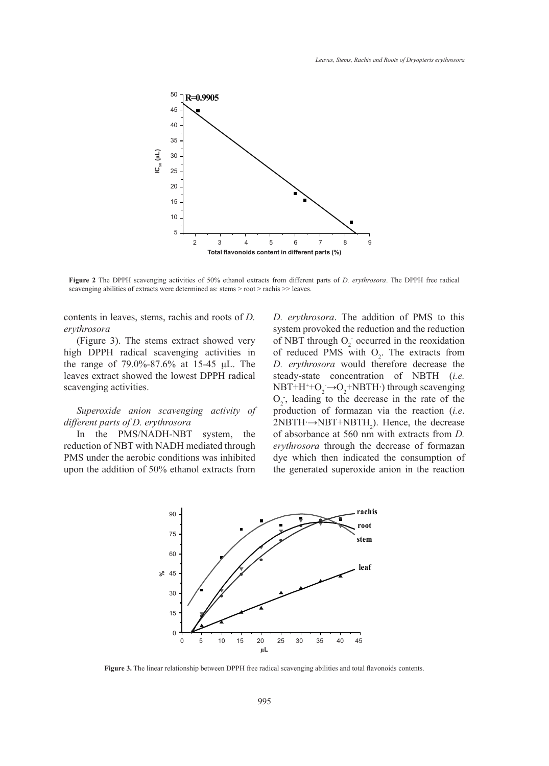

**Figure 2** The DPPH scavenging activities of 50% ethanol extracts from different parts of *D. erythrosora*. The DPPH free radical scavenging abilities of extracts were determined as: stems > root > rachis >> leaves.

contents in leaves, stems, rachis and roots of *D. erythrosora* 

(Figure 3). The stems extract showed very high DPPH radical scavenging activities in the range of 79.0%-87.6% at 15-45 μL. The leaves extract showed the lowest DPPH radical scavenging activities.

## *Superoxide anion scavenging activity of different parts of D. erythrosora*

In the PMS/NADH-NBT system, the reduction of NBT with NADH mediated through PMS under the aerobic conditions was inhibited upon the addition of 50% ethanol extracts from

*D. erythrosora*. The addition of PMS to this system provoked the reduction and the reduction of NBT through  $O_2$  occurred in the reoxidation of reduced PMS with  $O_2$ . The extracts from *D. erythrosora* would therefore decrease the steady-state concentration of NBTH (*i.e.*  $NBT+H^+ + O_2 \rightarrow O_2 + NBTH$  ) through scavenging  $O_2$ , leading to the decrease in the rate of the production of formazan via the reaction (*i.e*.  $2NBTH \rightarrow NBT+NBTH_2$ ). Hence, the decrease of absorbance at 560 nm with extracts from *D. erythrosora* through the decrease of formazan dye which then indicated the consumption of the generated superoxide anion in the reaction



**Figure 3.** The linear relationship between DPPH free radical scavenging abilities and total flavonoids contents.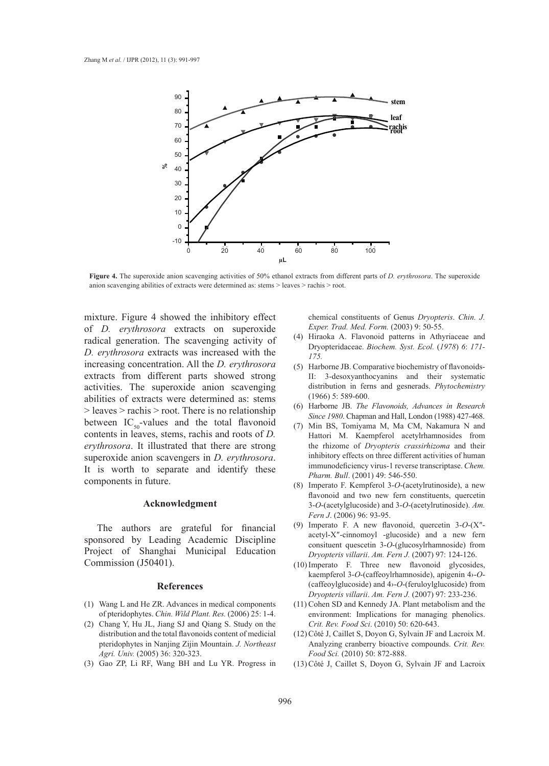

**Figure 4.** The superoxide anion scavenging activities of 50% ethanol extracts from different parts of *D. erythrosora*. The superoxide anion scavenging abilities of extracts were determined as: stems > leaves > rachis > root.

mixture. Figure 4 showed the inhibitory effect of *D. erythrosora* extracts on superoxide radical generation. The scavenging activity of *D. erythrosora* extracts was increased with the increasing concentration. All the *D. erythrosora* extracts from different parts showed strong activities. The superoxide anion scavenging abilities of extracts were determined as: stems > leaves > rachis > root. There is no relationship between  $IC_{50}$ -values and the total flavonoid contents in leaves, stems, rachis and roots of *D. erythrosora*. It illustrated that there are strong superoxide anion scavengers in *D. erythrosora*. It is worth to separate and identify these components in future.

#### **Acknowledgment**

The authors are grateful for financial sponsored by Leading Academic Discipline Project of Shanghai Municipal Education Commission (J50401).

#### **References**

- Wang L and He ZR. Advances in medical components (1) of pteridophytes. *Chin. Wild Plant. Res.* (2006) 25: 1-4.
- Chang Y, Hu JL, Jiang SJ and Qiang S. Study on the (2) distribution and the total flavonoids content of medicial pteridophytes in Nanjing Zijin Mountain. *J. Northeast Agri. Univ.* (2005) 36: 320-323.
- (3) Gao ZP, Li RF, Wang BH and Lu YR. Progress in

chemical constituents of Genus *Dryopteris*. *Chin. J. Exper. Trad. Med. Form.* (2003) 9: 50-55.

- Hiraoka A. Flavonoid patterns in Athyriaceae and Dryopteridaceae. *Biochem. Syst. Ecol.* (*1978*) *6*: *171- 175.* (4)
- (5) Harborne JB. Comparative biochemistry of flavonoids-II: 3-desoxyanthocyanins and their systematic distribution in ferns and gesnerads. *Phytochemistry* (1966) 5: 589-600.
- Harborne JB. *The Flavonoids, Advances in Research*  (6) *Since 1980*. Chapman and Hall, London (1988) 427-468.
- Min BS, Tomiyama M, Ma CM, Nakamura N and Hattori M. Kaempferol acetylrhamnosides from the rhizome of *Dryopteris crassirhizoma* and their inhibitory effects on three different activities of human immunodeficiency virus-1 reverse transcriptase. *Chem. Pharm. Bull*. (2001) 49: 546-550. (7)
- (8) Imperato F. Kempferol  $3-O$ -(acetylrutinoside), a new flavonoid and two new fern constituents, quercetin 3-*O*-(acetylglucoside) and 3-*O*-(acetylrutinoside). *Am. Fern J*. (2006) 96: 93-95.
- Imperato F. A new flavonoid, quercetin 3-*O*-(X″- (9) acetyl-X″-cinnomoyl -glucoside) and a new fern consituent quescetin 3-*O*-(glucosylrhamnoside) from *Dryopteris villarii*. *Am. Fern J.* (2007) 97: 124-126.
- (10) Imperato F. Three new flavonoid glycosides, kaempferol 3-*O*-(caffeoylrhamnoside), apigenin 4›-*O*- (caffeoylglucoside) and 4›-*O*-(feruloylglucoside) from *Dryopteris villarii*. *Am. Fern J.* (2007) 97: 233-236.
- $(11)$  Cohen SD and Kennedy JA. Plant metabolism and the environment: Implications for managing phenolics. *Crit. Rev. Food Sci*. (2010) 50: 620-643.
- $(12)$  Côté J, Caillet S, Doyon G, Sylvain JF and Lacroix M. Analyzing cranberry bioactive compounds. *Crit. Rev. Food Sci.* (2010) 50: 872-888.
- $(13)$  Côté J, Caillet S, Doyon G, Sylvain JF and Lacroix